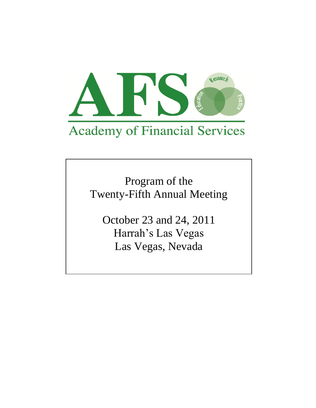

Program of the Twenty-Fifth Annual Meeting

October 23 and 24, 2011 Harrah's Las Vegas Las Vegas, Nevada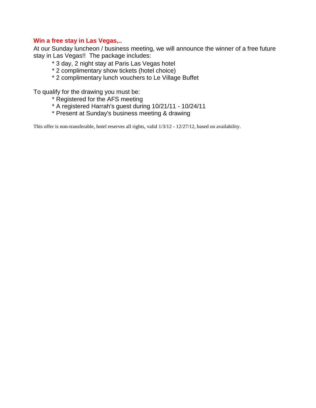# **Win a free stay in Las Vegas,..**

At our Sunday luncheon / business meeting, we will announce the winner of a free future stay in Las Vegas!! The package includes:

- \* 3 day, 2 night stay at Paris Las Vegas hotel
- \* 2 complimentary show tickets (hotel choice)
- \* 2 complimentary lunch vouchers to Le Village Buffet

To qualify for the drawing you must be:

- \* Registered for the AFS meeting
- \* A registered Harrah's guest during 10/21/11 10/24/11
- \* Present at Sunday's business meeting & drawing

This offer is non-transferable, hotel reserves all rights, valid 1/3/12 - 12/27/12, based on availability.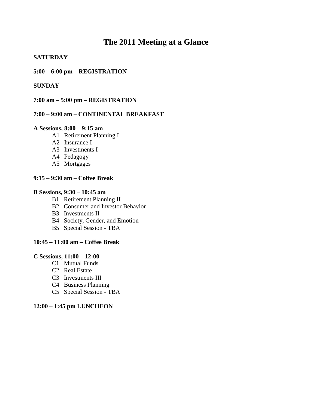# **The 2011 Meeting at a Glance**

# **SATURDAY**

# **5:00 – 6:00 pm – REGISTRATION**

# **SUNDAY**

### **7:00 am – 5:00 pm – REGISTRATION**

# **7:00 – 9:00 am – CONTINENTAL BREAKFAST**

#### **A Sessions, 8:00 – 9:15 am**

- A1 Retirement Planning I
- A2 Insurance I
- A3 Investments I
- A4 Pedagogy
- A5 Mortgages

### **9:15 – 9:30 am – Coffee Break**

#### **B Sessions, 9:30 – 10:45 am**

- B1 Retirement Planning II
- B2 Consumer and Investor Behavior
- B3 Investments II
- B4 Society, Gender, and Emotion
- B5 Special Session TBA

# **10:45 – 11:00 am – Coffee Break**

#### **C Sessions, 11:00 – 12:00**

- C1 Mutual Funds
- C2 Real Estate
- C3 Investments III
- C4 Business Planning
- C5 Special Session TBA

### **12:00 – 1:45 pm LUNCHEON**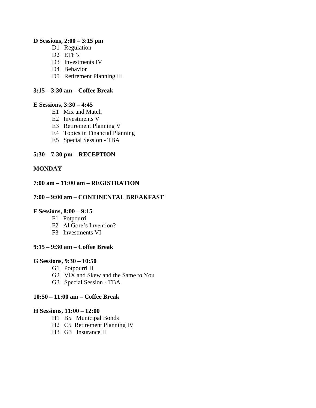### **D Sessions, 2:00 – 3:15 pm**

- D1 Regulation
- D<sub>2</sub> ETF's
- D3 Investments IV
- D4 Behavior
- D5 Retirement Planning III

# **3:15 – 3:30 am – Coffee Break**

### **E Sessions, 3:30 – 4:45**

- E1 Mix and Match
- E2 Investments V
- E3 Retirement Planning V
- E4 Topics in Financial Planning
- E5 Special Session TBA

# **5:30 – 7:30 pm – RECEPTION**

# **MONDAY**

# **7:00 am – 11:00 am – REGISTRATION**

# **7:00 – 9:00 am – CONTINENTAL BREAKFAST**

### **F Sessions, 8:00 – 9:15**

- F1 Potpourri
- F2 Al Gore's Invention?
- F3 Investments VI

### **9:15 – 9:30 am – Coffee Break**

### **G Sessions, 9:30 – 10:50**

- G1 Potpourri II
- G2 VIX and Skew and the Same to You
- G3 Special Session TBA

### **10:50 – 11:00 am – Coffee Break**

#### **H Sessions, 11:00 – 12:00**

- H1 B5 Municipal Bonds
- H2 C5 Retirement Planning IV
- H3 G3 Insurance II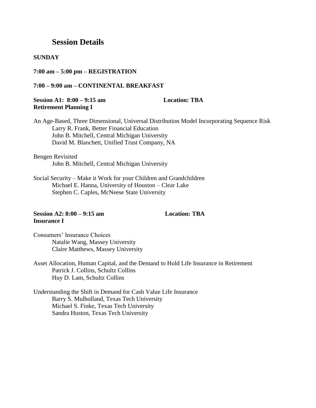# **Session Details**

#### **SUNDAY**

**7:00 am – 5:00 pm – REGISTRATION** 

#### **7:00 – 9:00 am – CONTINENTAL BREAKFAST**

### **Session A1: 8:00 – 9:15 am Location: TBA Retirement Planning I**

An Age-Based, Three Dimensional, Universal Distribution Model Incorporating Sequence Risk Larry R. Frank, Better Financial Education John B. Mitchell, Central Michigan University David M. Blanchett, Unified Trust Company, NA

Bengen Revisited John B. Mitchell, Central Michigan University

Social Security – Make it Work for your Children and Grandchildren Michael E. Hanna, University of Houston – Clear Lake Stephen C. Caples, McNeese State University

### **Session A2: 8:00 – 9:15 am Location: TBA Insurance I**

Consumers' Insurance Choices Natalie Wang, Massey University Claire Matthews, Massey University

Asset Allocation, Human Capital, and the Demand to Hold Life Insurance in Retirement Patrick J. Collins, Schultz Collins Huy D. Lam, Schultz Collins

Understanding the Shift in Demand for Cash Value Life Insurance Barry S. Mulholland, Texas Tech University Michael S. Finke, Texas Tech University Sandra Huston, Texas Tech University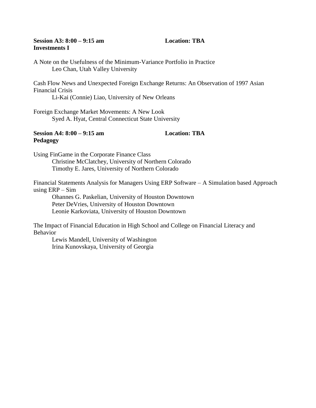## **Session A3: 8:00 – 9:15 am Location: TBA Investments I**

A Note on the Usefulness of the Minimum-Variance Portfolio in Practice Leo Chan, Utah Valley University

Cash Flow News and Unexpected Foreign Exchange Returns: An Observation of 1997 Asian Financial Crisis

Li-Kai (Connie) Liao, University of New Orleans

Foreign Exchange Market Movements: A New Look Syed A. Hyat, Central Connecticut State University

# **Session A4: 8:00 – 9:15 am Location: TBA Pedagogy**

Using FinGame in the Corporate Finance Class Christine McClatchey, University of Northern Colorado Timothy E. Jares, University of Northern Colorado

Financial Statements Analysis for Managers Using ERP Software – A Simulation based Approach using ERP – Sim

Ohannes G. Paskelian, University of Houston Downtown Peter DeVries, University of Houston Downtown Leonie Karkoviata, University of Houston Downtown

The Impact of Financial Education in High School and College on Financial Literacy and Behavior

Lewis Mandell, University of Washington Irina Kunovskaya, University of Georgia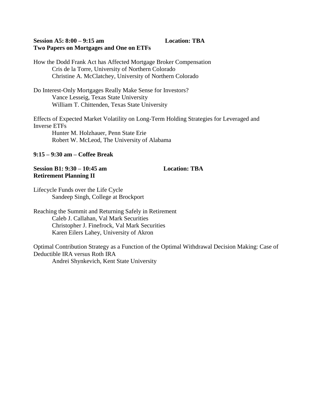## **Session A5: 8:00 – 9:15 am Location: TBA Two Papers on Mortgages and One on ETFs**

How the Dodd Frank Act has Affected Mortgage Broker Compensation Cris de la Torre, University of Northern Colorado Christine A. McClatchey, University of Northern Colorado

Do Interest-Only Mortgages Really Make Sense for Investors? Vance Lesseig, Texas State University William T. Chittenden, Texas State University

Effects of Expected Market Volatility on Long-Term Holding Strategies for Leveraged and Inverse ETFs Hunter M. Holzhauer, Penn State Erie

Robert W. McLeod, The University of Alabama

# **9:15 – 9:30 am – Coffee Break**

# **Session B1: 9:30 – 10:45 am Location: TBA Retirement Planning II**

Lifecycle Funds over the Life Cycle Sandeep Singh, College at Brockport

Reaching the Summit and Returning Safely in Retirement Caleb J. Callahan, Val Mark Securities Christopher J. Finefrock, Val Mark Securities Karen Eilers Lahey, University of Akron

Optimal Contribution Strategy as a Function of the Optimal Withdrawal Decision Making: Case of Deductible IRA versus Roth IRA Andrei Shynkevich, Kent State University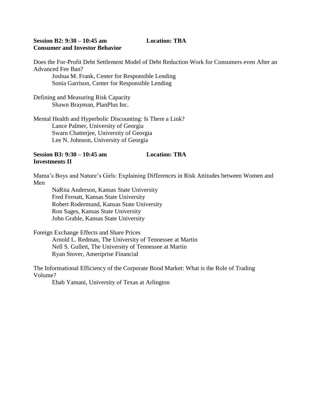### **Session B2: 9:30 – 10:45 am Location: TBA Consumer and Investor Behavior**

Does the For-Profit Debt Settlement Model of Debt Reduction Work for Consumers even After an Advanced Fee Ban?

Joshua M. Frank, Center for Responsible Lending Sonia Garrison, Center for Responsible Lending

Defining and Measuring Risk Capacity Shawn Brayman, PlanPlus Inc.

Mental Health and Hyperbolic Discounting: Is There a Link? Lance Palmer, University of Georgia Swarn Chatterjee, University of Georgia Lee N. Johnson, University of Georgia

# **Session B3: 9:30 – 10:45 am Location: TBA Investments II**

Mama's Boys and Nature's Girls: Explaining Differences in Risk Attitudes between Women and Men

NaRita Anderson, Kansas State University Fred Fernatt, Kansas State University Robert Rodermund, Kansas State University Ron Sages, Kansas State University John Grable, Kansas State University

Foreign Exchange Effects and Share Prices

Arnold L. Redman, The University of Tennessee at Martin Nell S. Gullett, The University of Tennessee at Martin Ryan Stover, Ameriprise Financial

The Informational Efficiency of the Corporate Bond Market: What is the Role of Trading Volume?

Ehab Yamani, University of Texas at Arlington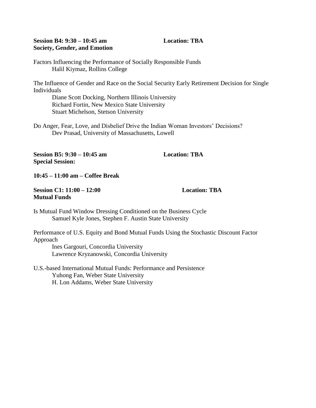### **Session B4: 9:30 – 10:45 am Location: TBA Society, Gender, and Emotion**

Factors Influencing the Performance of Socially Responsible Funds Halil Kiymaz, Rollins College

The Influence of Gender and Race on the Social Security Early Retirement Decision for Single Individuals

Diane Scott Docking, Northern Illinois University Richard Fortin, New Mexico State University Stuart Michelson, Stetson University

Do Anger, Fear, Love, and Disbelief Drive the Indian Woman Investors' Decisions? Dev Prasad, University of Massachusetts, Lowell

**Session B5: 9:30 – 10:45 am Location: TBA Special Session:** 

**10:45 – 11:00 am – Coffee Break** 

**Session C1: 11:00 – 12:00 Location: TBA Mutual Funds**

Is Mutual Fund Window Dressing Conditioned on the Business Cycle Samuel Kyle Jones, Stephen F. Austin State University

Performance of U.S. Equity and Bond Mutual Funds Using the Stochastic Discount Factor Approach

Ines Gargouri, Concordia University Lawrence Kryzanowski, Concordia University

U.S.-based International Mutual Funds: Performance and Persistence Yuhong Fan, Weber State University H. Lon Addams, Weber State University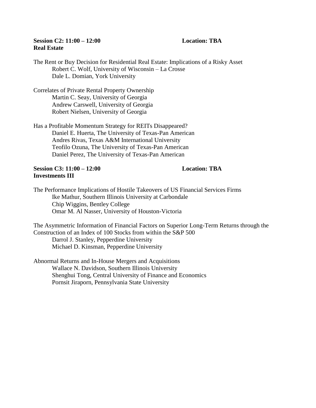# **Session C2: 11:00 – 12:00 Location: TBA Real Estate**

The Rent or Buy Decision for Residential Real Estate: Implications of a Risky Asset Robert C. Wolf, University of Wisconsin – La Crosse Dale L. Domian, York University

Correlates of Private Rental Property Ownership Martin C. Seay, University of Georgia Andrew Carswell, University of Georgia Robert Nielsen, University of Georgia

Has a Profitable Momentum Strategy for REITs Disappeared? Daniel E. Huerta, The University of Texas-Pan American Andres Rivas, Texas A&M International University Teofilo Ozuna, The University of Texas-Pan American Daniel Perez, The University of Texas-Pan American

### **Session C3: 11:00 – 12:00 Location: TBA Investments III**

The Performance Implications of Hostile Takeovers of US Financial Services Firms Ike Mathur, Southern Illinois University at Carbondale Chip Wiggins, Bentley College Omar M. Al Nasser, University of Houston-Victoria

The Asymmetric Information of Financial Factors on Superior Long-Term Returns through the Construction of an Index of 100 Stocks from within the S&P 500 Darrol J. Stanley, Pepperdine University Michael D. Kinsman, Pepperdine University

Abnormal Returns and In-House Mergers and Acquisitions Wallace N. Davidson, Southern Illinois University Shenghui Tong, Central University of Finance and Economics Pornsit Jiraporn, Pennsylvania State University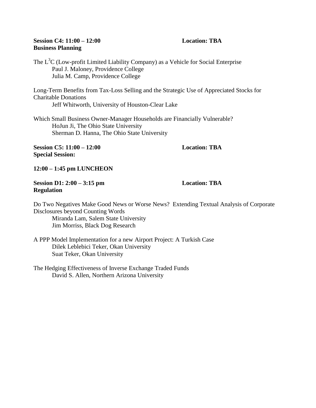### **Session C4: 11:00 – 12:00 Location: TBA Business Planning**

The  $L<sup>3</sup>C$  (Low-profit Limited Liability Company) as a Vehicle for Social Enterprise Paul J. Maloney, Providence College Julia M. Camp, Providence College

Long-Term Benefits from Tax-Loss Selling and the Strategic Use of Appreciated Stocks for Charitable Donations Jeff Whitworth, University of Houston-Clear Lake

Which Small Business Owner-Manager Households are Financially Vulnerable? HoJun Ji, The Ohio State University Sherman D. Hanna, The Ohio State University

**Session C5: 11:00 – 12:00 Location: TBA Special Session:**

**12:00 – 1:45 pm LUNCHEON** 

# **Session D1: 2:00 – 3:15 pm Location: TBA Regulation**

Do Two Negatives Make Good News or Worse News? Extending Textual Analysis of Corporate Disclosures beyond Counting Words Miranda Lam, Salem State University

Jim Morriss, Black Dog Research

A PPP Model Implementation for a new Airport Project: A Turkish Case Dilek Leblebici Teker, Okan University Suat Teker, Okan University

The Hedging Effectiveness of Inverse Exchange Traded Funds David S. Allen, Northern Arizona University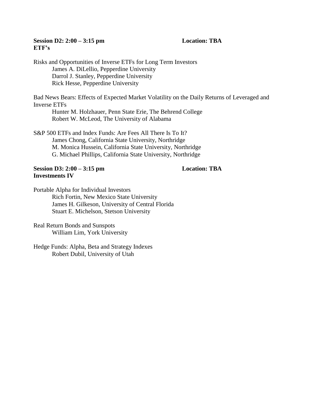# **Session D2: 2:00 – 3:15 pm Location: TBA ETF's**

Robert Dubil, University of Utah

Risks and Opportunities of Inverse ETFs for Long Term Investors James A. DiLellio, Pepperdine University Darrol J. Stanley, Pepperdine University Rick Hesse, Pepperdine University Bad News Bears: Effects of Expected Market Volatility on the Daily Returns of Leveraged and Inverse ETFs Hunter M. Holzhauer, Penn State Erie, The Behrend College Robert W. McLeod, The University of Alabama S&P 500 ETFs and Index Funds: Are Fees All There Is To It? James Chong, California State University, Northridge M. Monica Hussein, California State University, Northridge G. Michael Phillips, California State University, Northridge **Session D3: 2:00 – 3:15 pm Location: TBA Investments IV** Portable Alpha for Individual Investors Rich Fortin, New Mexico State University James H. Gilkeson, University of Central Florida Stuart E. Michelson, Stetson University Real Return Bonds and Sunspots William Lim, York University Hedge Funds: Alpha, Beta and Strategy Indexes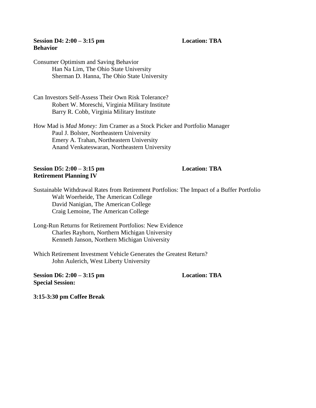### **Session D4: 2:00 – 3:15 pm Location: TBA Behavior**

Consumer Optimism and Saving Behavior Han Na Lim, The Ohio State University Sherman D. Hanna, The Ohio State University

Can Investors Self-Assess Their Own Risk Tolerance? Robert W. Moreschi, Virginia Military Institute Barry R. Cobb, Virginia Military Institute

How Mad is *Mad Money:* Jim Cramer as a Stock Picker and Portfolio Manager Paul J. Bolster, Northeastern University Emery A. Trahan, Northeastern University Anand Venkateswaran, Northeastern University

### **Session D5: 2:00 – 3:15 pm Location: TBA Retirement Planning IV**

Sustainable Withdrawal Rates from Retirement Portfolios: The Impact of a Buffer Portfolio Walt Woerheide, The American College David Nanigian, The American College Craig Lemoine, The American College

Long-Run Returns for Retirement Portfolios: New Evidence Charles Rayhorn, Northern Michigan University Kenneth Janson, Northern Michigan University

Which Retirement Investment Vehicle Generates the Greatest Return? John Aulerich, West Liberty University

**Session D6: 2:00 – 3:15 pm Location: TBA Special Session:** 

**3:15-3:30 pm Coffee Break**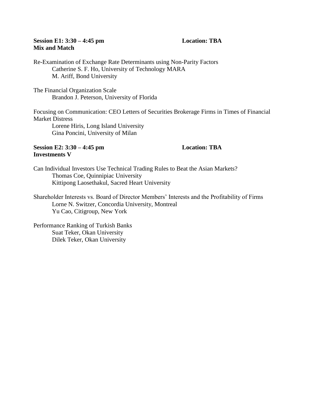# **Session E1: 3:30 – 4:45 pm Location: TBA Mix and Match**

Re-Examination of Exchange Rate Determinants using Non-Parity Factors Catherine S. F. Ho, University of Technology MARA M. Ariff, Bond University

The Financial Organization Scale Brandon J. Peterson, University of Florida

Focusing on Communication: CEO Letters of Securities Brokerage Firms in Times of Financial Market Distress

Lorene Hiris, Long Island University Gina Poncini, University of Milan

### **Session E2: 3:30 – 4:45 pm Location: TBA Investments V**

Can Individual Investors Use Technical Trading Rules to Beat the Asian Markets? Thomas Coe, Quinnipiac University Kittipong Laosethakul, Sacred Heart University

Shareholder Interests vs. Board of Director Members' Interests and the Profitability of Firms Lorne N. Switzer, Concordia University, Montreal Yu Cao, Citigroup, New York

Performance Ranking of Turkish Banks Suat Teker, Okan University Dilek Teker, Okan University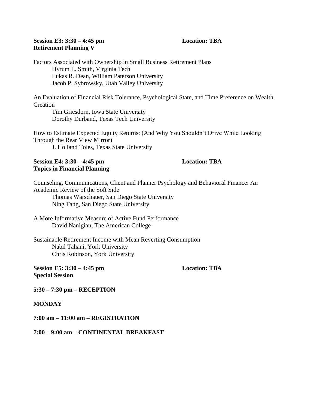# **Session E3: 3:30 – 4:45 pm Location: TBA Retirement Planning V**

Factors Associated with Ownership in Small Business Retirement Plans Hyrum L. Smith, Virginia Tech Lukas R. Dean, William Paterson University Jacob P. Sybrowsky, Utah Valley University

An Evaluation of Financial Risk Tolerance, Psychological State, and Time Preference on Wealth **Creation** 

Tim Griesdorn, Iowa State University Dorothy Durband, Texas Tech University

How to Estimate Expected Equity Returns: (And Why You Shouldn't Drive While Looking Through the Rear View Mirror)

J. Holland Toles, Texas State University

### **Session E4: 3:30 – 4:45 pm Location: TBA Topics in Financial Planning**

Counseling, Communications, Client and Planner Psychology and Behavioral Finance: An Academic Review of the Soft Side

Thomas Warschauer, San Diego State University Ning Tang, San Diego State University

A More Informative Measure of Active Fund Performance David Nanigian, The American College

Sustainable Retirement Income with Mean Reverting Consumption Nabil Tahani, York University Chris Robinson, York University

**Session E5: 3:30 – 4:45 pm Location: TBA Special Session**

**5:30 – 7:30 pm – RECEPTION** 

**MONDAY**

**7:00 am – 11:00 am – REGISTRATION** 

**7:00 – 9:00 am – CONTINENTAL BREAKFAST**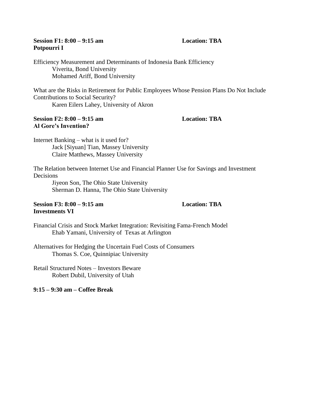# **Session F1: 8:00 – 9:15 am Location: TBA Potpourri I**

Efficiency Measurement and Determinants of Indonesia Bank Efficiency Viverita, Bond University Mohamed Ariff, Bond University

What are the Risks in Retirement for Public Employees Whose Pension Plans Do Not Include Contributions to Social Security? Karen Eilers Lahey, University of Akron

### **Session F2: 8:00 – 9:15 am Location: TBA Al Gore's Invention?**

Internet Banking – what is it used for? Jack [Siyuan] Tian, Massey University Claire Matthews, Massey University

The Relation between Internet Use and Financial Planner Use for Savings and Investment Decisions

Jiyeon Son, The Ohio State University Sherman D. Hanna, The Ohio State University

### **Session F3: 8:00 – 9:15 am Location: TBA Investments VI**

Financial Crisis and Stock Market Integration: Revisiting Fama-French Model Ehab Yamani, University of Texas at Arlington

Alternatives for Hedging the Uncertain Fuel Costs of Consumers Thomas S. Coe, Quinnipiac University

Retail Structured Notes – Investors Beware Robert Dubil, University of Utah

**9:15 – 9:30 am – Coffee Break**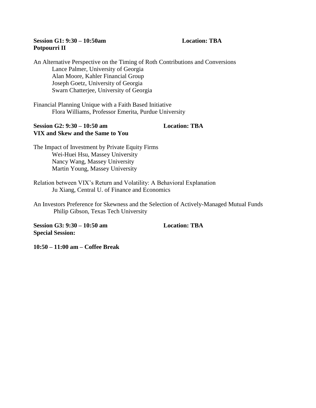# **Session G1: 9:30 – 10:50am Location: TBA Potpourri II**

An Alternative Perspective on the Timing of Roth Contributions and Conversions Lance Palmer, University of Georgia Alan Moore, Kahler Financial Group Joseph Goetz, University of Georgia Swarn Chatterjee, University of Georgia

Financial Planning Unique with a Faith Based Initiative Flora Williams, Professor Emerita, Purdue University

### **Session G2: 9:30 – 10:50 am Location: TBA VIX and Skew and the Same to You**

The Impact of Investment by Private Equity Firms Wei-Huei Hsu, Massey University Nancy Wang, Massey University Martin Young, Massey University

Relation between VIX's Return and Volatility: A Behavioral Explanation Ju Xiang, Central U. of Finance and Economics

An Investors Preference for Skewness and the Selection of Actively-Managed Mutual Funds Philip Gibson, Texas Tech University

**Session G3: 9:30 – 10:50 am Location: TBA Special Session:**

**10:50 – 11:00 am – Coffee Break**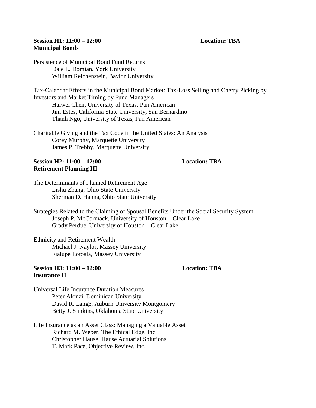### **Session H1: 11:00 – 12:00 Location: TBA Municipal Bonds**

Persistence of Municipal Bond Fund Returns Dale L. Domian, York University William Reichenstein, Baylor University

Tax-Calendar Effects in the Municipal Bond Market: Tax-Loss Selling and Cherry Picking by Investors and Market Timing by Fund Managers Haiwei Chen, University of Texas, Pan American Jim Estes, California State University, San Bernardino Thanh Ngo, University of Texas, Pan American

Charitable Giving and the Tax Code in the United States: An Analysis Corey Murphy, Marquette University James P. Trebby, Marquette University

#### **Session H2: 11:00 – 12:00 Location: TBA Retirement Planning III**

The Determinants of Planned Retirement Age Lishu Zhang, Ohio State University Sherman D. Hanna, Ohio State University

Strategies Related to the Claiming of Spousal Benefits Under the Social Security System Joseph P. McCormack, University of Houston – Clear Lake Grady Perdue, University of Houston – Clear Lake

Ethnicity and Retirement Wealth Michael J. Naylor, Massey University Fialupe Lotoala, Massey University

#### **Session H3: 11:00 – 12:00 Location: TBA Insurance II**

Universal Life Insurance Duration Measures Peter Alonzi, Dominican University David R. Lange, Auburn University Montgomery Betty J. Simkins, Oklahoma State University

Life Insurance as an Asset Class: Managing a Valuable Asset Richard M. Weber, The Ethical Edge, Inc. Christopher Hause, Hause Actuarial Solutions T. Mark Pace, Objective Review, Inc.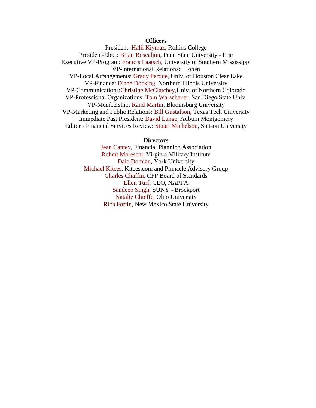### **Officers**

President: Halil Kiymaz, Rollins College President-Elect: Brian Boscaljon, Penn State University - Erie Executive VP-Program: Francis Laatsch, University of Southern Mississippi VP-International Relations: open VP-Local Arrangements: Grady Perdue, Univ. of Houston Clear Lake VP-Finance: Diane Docking, Northern Illinois University VP-Communications:Christine McClatchey,Univ. of Northern Colorado VP-Professional Organizations: Tom Warschauer, San Diego State Univ. VP-Membership: Rand Martin, Bloomsburg University VP-Marketing and Public Relations: Bill Gustafson, Texas Tech University Immediate Past President: David Lange, Auburn Montgomery Editor - Financial Services Review: Stuart Michelson, Stetson University

#### **Directors**

Jean Cantey, Financial Planning Association Robert Moreschi, Virginia Military Institut[e](mailto:tom.warschauer@sdsu.edu) Dale Domian, York University Michael Kitces, Kitces.com and Pinnacle Advisory Group Charles Chaffin, CFP Board of Standards Ellen Turf, CEO, NAPFA Sandeep Singh, SUNY - Brockport Natalie Chieffe, Ohio University Rich Fortin, New Mexico State University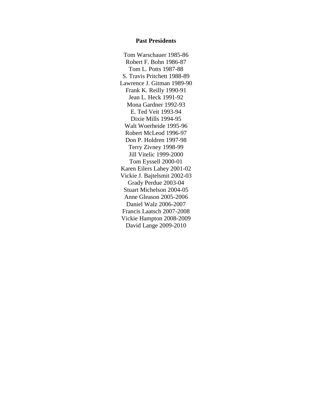#### **Past Presidents**

Tom Warschauer 1985-86 Robert F. Bohn 1986-87 Tom L. Potts 1987-88 S. Travis Pritchett 1988-89 Lawrence J. Gitman 1989-90 Frank K. Reilly 1990-91 Jean L. Heck 1991-92 Mona Gardner 1992-93 E. Ted Veit 1993-94 Dixie Mills 1994-95 Walt Woerheide 1995-96 Robert McLeod 1996-97 Don P. Holdren 1997-98 Terry Zivney 1998-99 Jill Vitelic 1999-2000 Tom Eyssell 2000-01 Karen Eilers Lahey 2001-02 Vickie J. Bajtelsmit 2002-03 Grady Perdue 2003-04 Stuart Michelson 2004-05 Anne Gleason 2005-2006 Daniel Walz 2006-2007 Francis Laatsch 2007-2008 Vickie Hampton 2008-2009 David Lange 2009-2010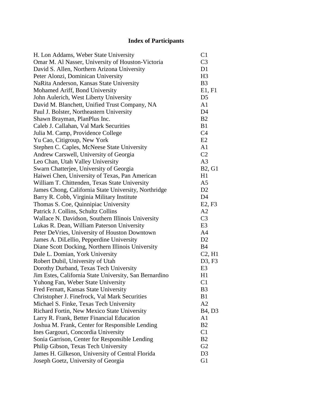# **Index of Participants**

| H. Lon Addams, Weber State University                  | C <sub>1</sub>                  |
|--------------------------------------------------------|---------------------------------|
| Omar M. Al Nasser, University of Houston-Victoria      | C <sub>3</sub>                  |
| David S. Allen, Northern Arizona University            | D1                              |
| Peter Alonzi, Dominican University                     | H <sub>3</sub>                  |
| NaRita Anderson, Kansas State University               | B <sub>3</sub>                  |
| Mohamed Ariff, Bond University                         | E1, F1                          |
| John Aulerich, West Liberty University                 | D <sub>5</sub>                  |
| David M. Blanchett, Unified Trust Company, NA          | A <sub>1</sub>                  |
| Paul J. Bolster, Northeastern University               | D <sub>4</sub>                  |
| Shawn Brayman, PlanPlus Inc.                           | B <sub>2</sub>                  |
| Caleb J. Callahan, Val Mark Securities                 | B1                              |
| Julia M. Camp, Providence College                      | C <sub>4</sub>                  |
| Yu Cao, Citigroup, New York                            | E2                              |
| Stephen C. Caples, McNeese State University            | A <sub>1</sub>                  |
| Andrew Carswell, University of Georgia                 | C <sub>2</sub>                  |
| Leo Chan, Utah Valley University                       | A <sub>3</sub>                  |
| Swarn Chatterjee, University of Georgia                | <b>B2, G1</b>                   |
| Haiwei Chen, University of Texas, Pan American         | H1                              |
| William T. Chittenden, Texas State University          | A <sub>5</sub>                  |
| James Chong, California State University, Northridge   | D2                              |
| Barry R. Cobb, Virginia Military Institute             | D <sub>4</sub>                  |
| Thomas S. Coe, Quinnipiac University                   | E2, F3                          |
| Patrick J. Collins, Schultz Collins                    | A2                              |
| Wallace N. Davidson, Southern Illinois University      | C <sub>3</sub>                  |
| Lukas R. Dean, William Paterson University             | E <sub>3</sub>                  |
| Peter DeVries, University of Houston Downtown          | A <sub>4</sub>                  |
| James A. DiLellio, Pepperdine University               | D2                              |
| Diane Scott Docking, Northern Illinois University      | <b>B4</b>                       |
| Dale L. Domian, York University                        | $C2$ , H <sub>1</sub>           |
| Robert Dubil, University of Utah                       | D3, F3                          |
| Dorothy Durband, Texas Tech University                 | E <sub>3</sub>                  |
| Jim Estes, California State University, San Bernardino | H1                              |
| Yuhong Fan, Weber State University                     | C <sub>1</sub>                  |
| Fred Fernatt, Kansas State University                  | B <sub>3</sub>                  |
| Christopher J. Finefrock, Val Mark Securities          | B1                              |
| Michael S. Finke, Texas Tech University                | A2                              |
| Richard Fortin, New Mexico State University            | B <sub>4</sub> , D <sub>3</sub> |
| Larry R. Frank, Better Financial Education             | A <sub>1</sub>                  |
| Joshua M. Frank, Center for Responsible Lending        | B2                              |
| Ines Gargouri, Concordia University                    | C1                              |
| Sonia Garrison, Center for Responsible Lending         | B <sub>2</sub>                  |
| Philip Gibson, Texas Tech University                   | G2                              |
| James H. Gilkeson, University of Central Florida       | D <sub>3</sub>                  |
| Joseph Goetz, University of Georgia                    | G1                              |
|                                                        |                                 |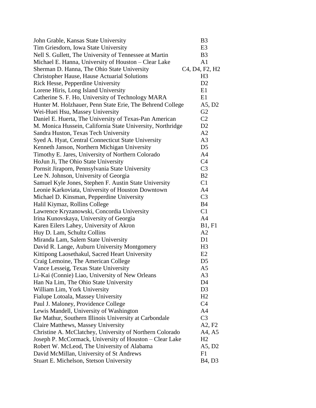| John Grable, Kansas State University                       | B <sub>3</sub>                                                    |
|------------------------------------------------------------|-------------------------------------------------------------------|
| Tim Griesdorn, Iowa State University                       | E <sub>3</sub>                                                    |
| Nell S. Gullett, The University of Tennessee at Martin     | B <sub>3</sub>                                                    |
| Michael E. Hanna, University of Houston – Clear Lake       | A1                                                                |
| Sherman D. Hanna, The Ohio State University                | C <sub>4</sub> , D <sub>4</sub> , F <sub>2</sub> , H <sub>2</sub> |
| <b>Christopher Hause, Hause Actuarial Solutions</b>        | H <sub>3</sub>                                                    |
| Rick Hesse, Pepperdine University                          | D2                                                                |
| Lorene Hiris, Long Island University                       | E1                                                                |
| Catherine S. F. Ho, University of Technology MARA          | E1                                                                |
| Hunter M. Holzhauer, Penn State Erie, The Behrend College  | A5, D2                                                            |
| Wei-Huei Hsu, Massey University                            | G2                                                                |
| Daniel E. Huerta, The University of Texas-Pan American     | C <sub>2</sub>                                                    |
| M. Monica Hussein, California State University, Northridge | D2                                                                |
| Sandra Huston, Texas Tech University                       | A2                                                                |
| Syed A. Hyat, Central Connecticut State University         | A <sub>3</sub>                                                    |
| Kenneth Janson, Northern Michigan University               | D <sub>5</sub>                                                    |
| Timothy E. Jares, University of Northern Colorado          | A <sub>4</sub>                                                    |
| HoJun Ji, The Ohio State University                        | C <sub>4</sub>                                                    |
| Pornsit Jiraporn, Pennsylvania State University            | C <sub>3</sub>                                                    |
| Lee N. Johnson, University of Georgia                      | B2                                                                |
| Samuel Kyle Jones, Stephen F. Austin State University      | C1                                                                |
| Leonie Karkoviata, University of Houston Downtown          | A <sub>4</sub>                                                    |
| Michael D. Kinsman, Pepperdine University                  | C <sub>3</sub>                                                    |
| Halil Kiymaz, Rollins College                              | <b>B4</b>                                                         |
| Lawrence Kryzanowski, Concordia University                 | C <sub>1</sub>                                                    |
| Irina Kunovskaya, University of Georgia                    | A <sub>4</sub>                                                    |
| Karen Eilers Lahey, University of Akron                    | <b>B1</b> , F1                                                    |
| Huy D. Lam, Schultz Collins                                | A <sub>2</sub>                                                    |
| Miranda Lam, Salem State University                        | D1                                                                |
| David R. Lange, Auburn University Montgomery               | H <sub>3</sub>                                                    |
| Kittipong Laosethakul, Sacred Heart University             | E2                                                                |
| Craig Lemoine, The American College                        | D <sub>5</sub>                                                    |
| Vance Lesseig, Texas State University                      | A5                                                                |
| Li-Kai (Connie) Liao, University of New Orleans            | A3                                                                |
| Han Na Lim, The Ohio State University                      | D4                                                                |
| William Lim, York University                               | D <sub>3</sub>                                                    |
| Fialupe Lotoala, Massey University                         | H2                                                                |
| Paul J. Maloney, Providence College                        | C <sub>4</sub>                                                    |
| Lewis Mandell, University of Washington                    | A <sub>4</sub>                                                    |
| Ike Mathur, Southern Illinois University at Carbondale     | C <sub>3</sub>                                                    |
| Claire Matthews, Massey University                         | A2, F2                                                            |
| Christine A. McClatchey, University of Northern Colorado   | A4, A5                                                            |
| Joseph P. McCormack, University of Houston – Clear Lake    | H2                                                                |
| Robert W. McLeod, The University of Alabama                | A5, D2                                                            |
| David McMillan, University of St Andrews                   | F1                                                                |
| Stuart E. Michelson, Stetson University                    | B <sub>4</sub> , D <sub>3</sub>                                   |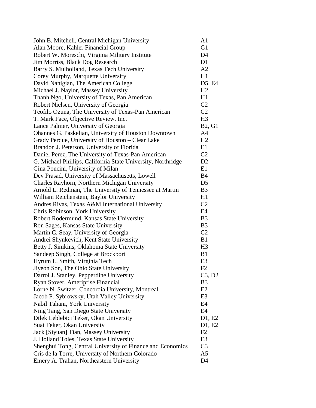| John B. Mitchell, Central Michigan University                | A <sub>1</sub>                  |
|--------------------------------------------------------------|---------------------------------|
| Alan Moore, Kahler Financial Group                           | G1                              |
| Robert W. Moreschi, Virginia Military Institute              | D <sub>4</sub>                  |
| Jim Morriss, Black Dog Research                              | D <sub>1</sub>                  |
| Barry S. Mulholland, Texas Tech University                   | A2                              |
| Corey Murphy, Marquette University                           | H1                              |
| David Nanigian, The American College                         | D <sub>5</sub> , E <sub>4</sub> |
| Michael J. Naylor, Massey University                         | H <sub>2</sub>                  |
| Thanh Ngo, University of Texas, Pan American                 | H1                              |
| Robert Nielsen, University of Georgia                        | C <sub>2</sub>                  |
| Teofilo Ozuna, The University of Texas-Pan American          | C <sub>2</sub>                  |
| T. Mark Pace, Objective Review, Inc.                         | H <sub>3</sub>                  |
| Lance Palmer, University of Georgia                          | <b>B2, G1</b>                   |
| Ohannes G. Paskelian, University of Houston Downtown         | A <sub>4</sub>                  |
| Grady Perdue, University of Houston - Clear Lake             | H <sub>2</sub>                  |
| Brandon J. Peterson, University of Florida                   | E1                              |
| Daniel Perez, The University of Texas-Pan American           | C <sub>2</sub>                  |
| G. Michael Phillips, California State University, Northridge | D2                              |
| Gina Poncini, University of Milan                            | E1                              |
| Dev Prasad, University of Massachusetts, Lowell              | <b>B4</b>                       |
| Charles Rayhorn, Northern Michigan University                | D <sub>5</sub>                  |
| Arnold L. Redman, The University of Tennessee at Martin      | B <sub>3</sub>                  |
| William Reichenstein, Baylor University                      | H1                              |
| Andres Rivas, Texas A&M International University             | C <sub>2</sub>                  |
| Chris Robinson, York University                              | E4                              |
| Robert Rodermund, Kansas State University                    | B <sub>3</sub>                  |
| Ron Sages, Kansas State University                           | B <sub>3</sub>                  |
| Martin C. Seay, University of Georgia                        | C <sub>2</sub>                  |
| Andrei Shynkevich, Kent State University                     | B1                              |
| Betty J. Simkins, Oklahoma State University                  | H <sub>3</sub>                  |
| Sandeep Singh, College at Brockport                          | B1                              |
| Hyrum L. Smith, Virginia Tech                                | E <sub>3</sub>                  |
| Jiyeon Son, The Ohio State University                        | F2                              |
| Darrol J. Stanley, Pepperdine University                     | C3, D2                          |
| Ryan Stover, Ameriprise Financial                            | B <sub>3</sub>                  |
| Lorne N. Switzer, Concordia University, Montreal             | E2                              |
| Jacob P. Sybrowsky, Utah Valley University                   | E3                              |
| Nabil Tahani, York University                                | E4                              |
| Ning Tang, San Diego State University                        | E4                              |
| Dilek Leblebici Teker, Okan University                       | D1, E2                          |
| Suat Teker, Okan University                                  | D1, E2                          |
| Jack [Siyuan] Tian, Massey University                        | F2                              |
| J. Holland Toles, Texas State University                     | E <sub>3</sub>                  |
| Shenghui Tong, Central University of Finance and Economics   | C <sub>3</sub>                  |
| Cris de la Torre, University of Northern Colorado            | A5                              |
| Emery A. Trahan, Northeastern University                     | D <sub>4</sub>                  |